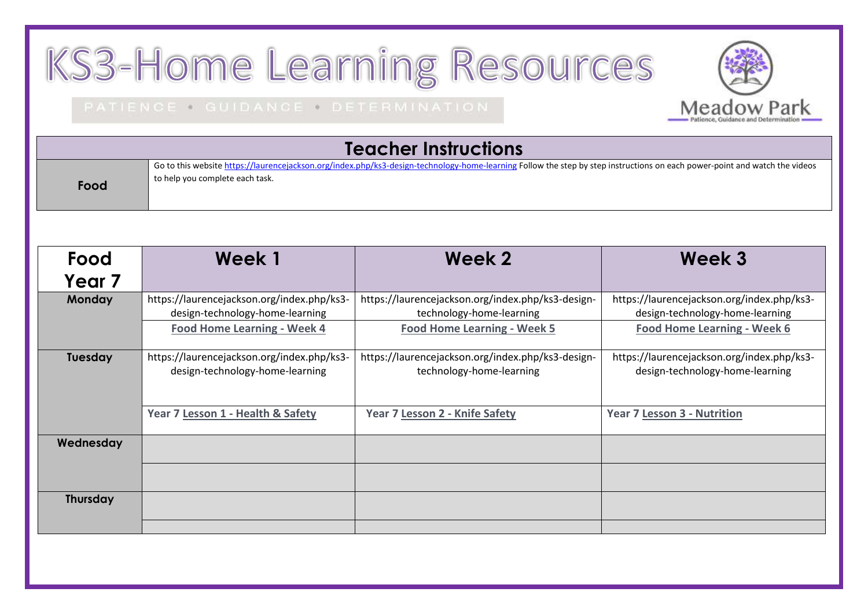## KS3-Home Learning Resources

## PATIENCE . GUIDANCE . DETERMINATION

| <b>Teacher Instructions</b> |                                                                                                                                                                                                               |                                                                                                                     |                                                                                                                     |  |  |  |
|-----------------------------|---------------------------------------------------------------------------------------------------------------------------------------------------------------------------------------------------------------|---------------------------------------------------------------------------------------------------------------------|---------------------------------------------------------------------------------------------------------------------|--|--|--|
| Food                        | Go to this website https://laurencejackson.org/index.php/ks3-design-technology-home-learning Follow the step by step instructions on each power-point and watch the videos<br>to help you complete each task. |                                                                                                                     |                                                                                                                     |  |  |  |
| Food<br>Year 7              | Week 1                                                                                                                                                                                                        | Week 2                                                                                                              | Week 3                                                                                                              |  |  |  |
| Monday                      | https://laurencejackson.org/index.php/ks3-<br>design-technology-home-learning<br><b>Food Home Learning - Week 4</b>                                                                                           | https://laurencejackson.org/index.php/ks3-design-<br>technology-home-learning<br><b>Food Home Learning - Week 5</b> | https://laurencejackson.org/index.php/ks3-<br>design-technology-home-learning<br><b>Food Home Learning - Week 6</b> |  |  |  |
| Tuesday                     | https://laurencejackson.org/index.php/ks3-<br>design-technology-home-learning                                                                                                                                 | https://laurencejackson.org/index.php/ks3-design-<br>technology-home-learning                                       | https://laurencejackson.org/index.php/ks3-<br>design-technology-home-learning                                       |  |  |  |
|                             | Year 7 Lesson 1 - Health & Safety                                                                                                                                                                             | Year 7 Lesson 2 - Knife Safety                                                                                      | Year 7 Lesson 3 - Nutrition                                                                                         |  |  |  |
| Wednesday                   |                                                                                                                                                                                                               |                                                                                                                     |                                                                                                                     |  |  |  |
| <b>Thursday</b>             |                                                                                                                                                                                                               |                                                                                                                     |                                                                                                                     |  |  |  |

Meadow Park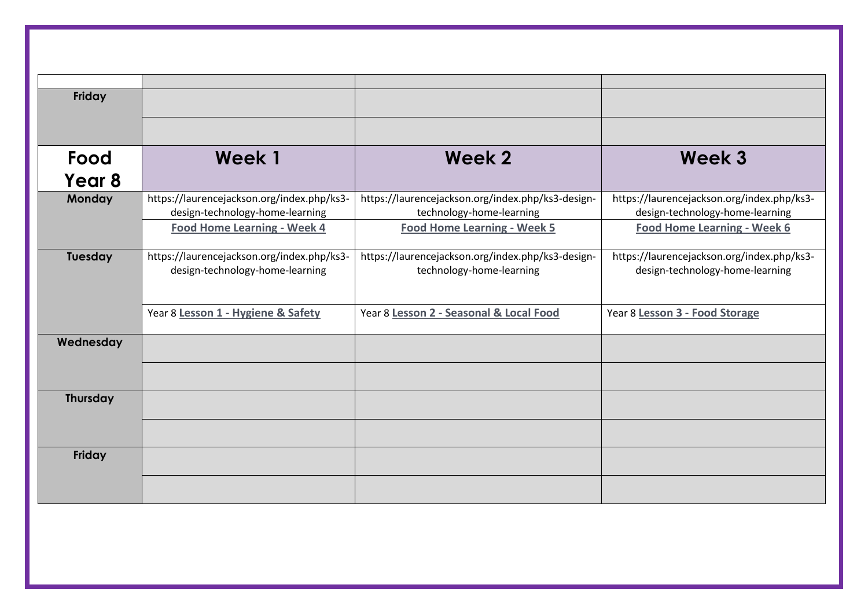| Friday          |                                                                               |                                                                               |                                                                               |
|-----------------|-------------------------------------------------------------------------------|-------------------------------------------------------------------------------|-------------------------------------------------------------------------------|
|                 |                                                                               |                                                                               |                                                                               |
| Food            | Week 1                                                                        | Week 2                                                                        | Week 3                                                                        |
| Year 8          |                                                                               |                                                                               |                                                                               |
| <b>Monday</b>   | https://laurencejackson.org/index.php/ks3-<br>design-technology-home-learning | https://laurencejackson.org/index.php/ks3-design-<br>technology-home-learning | https://laurencejackson.org/index.php/ks3-<br>design-technology-home-learning |
|                 | <b>Food Home Learning - Week 4</b>                                            | Food Home Learning - Week 5                                                   | <b>Food Home Learning - Week 6</b>                                            |
| Tuesday         | https://laurencejackson.org/index.php/ks3-<br>design-technology-home-learning | https://laurencejackson.org/index.php/ks3-design-<br>technology-home-learning | https://laurencejackson.org/index.php/ks3-<br>design-technology-home-learning |
|                 | Year 8 Lesson 1 - Hygiene & Safety                                            | Year 8 Lesson 2 - Seasonal & Local Food                                       | Year 8 Lesson 3 - Food Storage                                                |
| Wednesday       |                                                                               |                                                                               |                                                                               |
|                 |                                                                               |                                                                               |                                                                               |
| <b>Thursday</b> |                                                                               |                                                                               |                                                                               |
|                 |                                                                               |                                                                               |                                                                               |
| Friday          |                                                                               |                                                                               |                                                                               |
|                 |                                                                               |                                                                               |                                                                               |